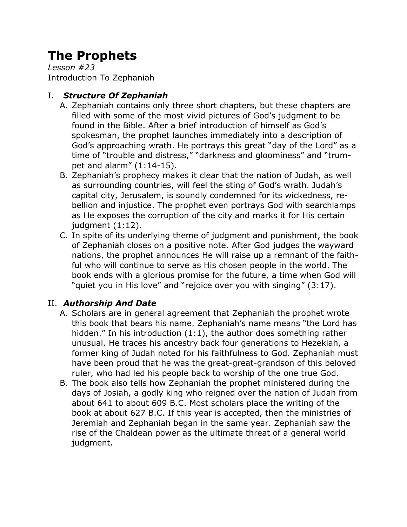# **The Prophets**

*Lesson #23* Introduction To Zephaniah

## I. *Structure Of Zephaniah*

- A. Zephaniah contains only three short chapters, but these chapters are filled with some of the most vivid pictures of God's judgment to be found in the Bible. After a brief introduction of himself as God's spokesman, the prophet launches immediately into a description of God's approaching wrath. He portrays this great "day of the Lord" as a time of "trouble and distress," "darkness and gloominess" and "trumpet and alarm" (1:14-15).
- B. Zephaniah's prophecy makes it clear that the nation of Judah, as well as surrounding countries, will feel the sting of God's wrath. Judah's capital city, Jerusalem, is soundly condemned for its wickedness, rebellion and injustice. The prophet even portrays God with searchlamps as He exposes the corruption of the city and marks it for His certain judgment (1:12).
- C. In spite of its underlying theme of judgment and punishment, the book of Zephaniah closes on a positive note. After God judges the wayward nations, the prophet announces He will raise up a remnant of the faithful who will continue to serve as His chosen people in the world. The book ends with a glorious promise for the future, a time when God will "quiet you in His love" and "rejoice over you with singing" (3:17).

# II. *Authorship And Date*

- A. Scholars are in general agreement that Zephaniah the prophet wrote this book that bears his name. Zephaniah's name means "the Lord has hidden." In his introduction (1:1), the author does something rather unusual. He traces his ancestry back four generations to Hezekiah, a former king of Judah noted for his faithfulness to God. Zephaniah must have been proud that he was the great-great-grandson of this beloved ruler, who had led his people back to worship of the one true God.
- B. The book also tells how Zephaniah the prophet ministered during the days of Josiah, a godly king who reigned over the nation of Judah from about 641 to about 609 B.C. Most scholars place the writing of the book at about 627 B.C. If this year is accepted, then the ministries of Jeremiah and Zephaniah began in the same year. Zephaniah saw the rise of the Chaldean power as the ultimate threat of a general world judgment.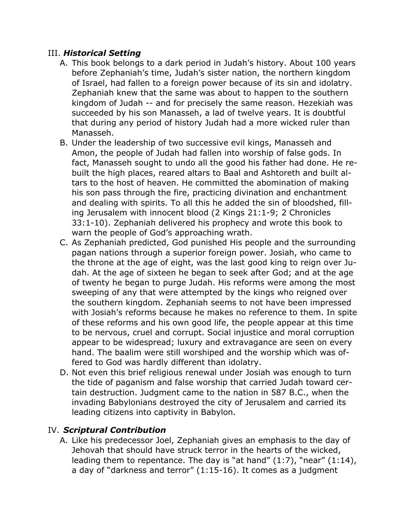#### III. *Historical Setting*

- A. This book belongs to a dark period in Judah's history. About 100 years before Zephaniah's time, Judah's sister nation, the northern kingdom of Israel, had fallen to a foreign power because of its sin and idolatry. Zephaniah knew that the same was about to happen to the southern kingdom of Judah -- and for precisely the same reason. Hezekiah was succeeded by his son Manasseh, a lad of twelve years. It is doubtful that during any period of history Judah had a more wicked ruler than Manasseh.
- B. Under the leadership of two successive evil kings, Manasseh and Amon, the people of Judah had fallen into worship of false gods. In fact, Manasseh sought to undo all the good his father had done. He rebuilt the high places, reared altars to Baal and Ashtoreth and built altars to the host of heaven. He committed the abomination of making his son pass through the fire, practicing divination and enchantment and dealing with spirits. To all this he added the sin of bloodshed, filling Jerusalem with innocent blood (2 Kings 21:1-9; 2 Chronicles 33:1-10). Zephaniah delivered his prophecy and wrote this book to warn the people of God's approaching wrath.
- C. As Zephaniah predicted, God punished His people and the surrounding pagan nations through a superior foreign power. Josiah, who came to the throne at the age of eight, was the last good king to reign over Judah. At the age of sixteen he began to seek after God; and at the age of twenty he began to purge Judah. His reforms were among the most sweeping of any that were attempted by the kings who reigned over the southern kingdom. Zephaniah seems to not have been impressed with Josiah's reforms because he makes no reference to them. In spite of these reforms and his own good life, the people appear at this time to be nervous, cruel and corrupt. Social injustice and moral corruption appear to be widespread; luxury and extravagance are seen on every hand. The baalim were still worshiped and the worship which was offered to God was hardly different than idolatry.
- D. Not even this brief religious renewal under Josiah was enough to turn the tide of paganism and false worship that carried Judah toward certain destruction. Judgment came to the nation in 587 B.C., when the invading Babylonians destroyed the city of Jerusalem and carried its leading citizens into captivity in Babylon.

#### IV. *Scriptural Contribution*

A. Like his predecessor Joel, Zephaniah gives an emphasis to the day of Jehovah that should have struck terror in the hearts of the wicked, leading them to repentance. The day is "at hand" (1:7), "near" (1:14), a day of "darkness and terror" (1:15-16). It comes as a judgment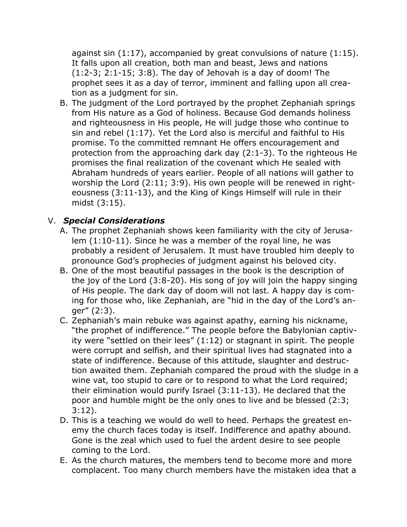against sin (1:17), accompanied by great convulsions of nature (1:15). It falls upon all creation, both man and beast, Jews and nations (1:2-3; 2:1-15; 3:8). The day of Jehovah is a day of doom! The prophet sees it as a day of terror, imminent and falling upon all creation as a judgment for sin.

B. The judgment of the Lord portrayed by the prophet Zephaniah springs from His nature as a God of holiness. Because God demands holiness and righteousness in His people, He will judge those who continue to sin and rebel (1:17). Yet the Lord also is merciful and faithful to His promise. To the committed remnant He offers encouragement and protection from the approaching dark day (2:1-3). To the righteous He promises the final realization of the covenant which He sealed with Abraham hundreds of years earlier. People of all nations will gather to worship the Lord (2:11; 3:9). His own people will be renewed in righteousness (3:11-13), and the King of Kings Himself will rule in their midst (3:15).

### V. *Special Considerations*

- A. The prophet Zephaniah shows keen familiarity with the city of Jerusalem (1:10-11). Since he was a member of the royal line, he was probably a resident of Jerusalem. It must have troubled him deeply to pronounce God's prophecies of judgment against his beloved city.
- B. One of the most beautiful passages in the book is the description of the joy of the Lord (3:8-20). His song of joy will join the happy singing of His people. The dark day of doom will not last. A happy day is coming for those who, like Zephaniah, are "hid in the day of the Lord's anger" (2:3).
- C. Zephaniah's main rebuke was against apathy, earning his nickname, "the prophet of indifference." The people before the Babylonian captivity were "settled on their lees" (1:12) or stagnant in spirit. The people were corrupt and selfish, and their spiritual lives had stagnated into a state of indifference. Because of this attitude, slaughter and destruction awaited them. Zephaniah compared the proud with the sludge in a wine vat, too stupid to care or to respond to what the Lord required; their elimination would purify Israel (3:11-13). He declared that the poor and humble might be the only ones to live and be blessed (2:3; 3:12).
- D. This is a teaching we would do well to heed. Perhaps the greatest enemy the church faces today is itself. Indifference and apathy abound. Gone is the zeal which used to fuel the ardent desire to see people coming to the Lord.
- E. As the church matures, the members tend to become more and more complacent. Too many church members have the mistaken idea that a